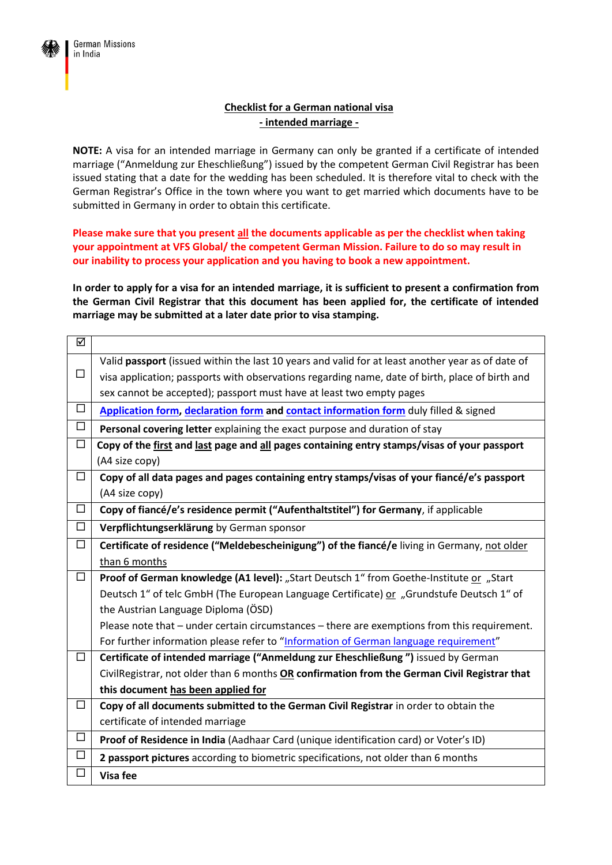

## **Checklist for a German national visa - intended marriage -**

**NOTE:** A visa for an intended marriage in Germany can only be granted if a certificate of intended marriage ("Anmeldung zur Eheschließung") issued by the competent German Civil Registrar has been issued stating that a date for the wedding has been scheduled. It is therefore vital to check with the German Registrar's Office in the town where you want to get married which documents have to be submitted in Germany in order to obtain this certificate.

**Please make sure that you present all the documents applicable as per the checklist when taking your appointment at VFS Global/ the competent German Mission. Failure to do so may result in our inability to process your application and you having to book a new appointment.**

**In order to apply for a visa for an intended marriage, it is sufficient to present a confirmation from the German Civil Registrar that this document has been applied for, the certificate of intended marriage may be submitted at a later date prior to visa stamping.**

| ☑      |                                                                                                   |
|--------|---------------------------------------------------------------------------------------------------|
|        | Valid passport (issued within the last 10 years and valid for at least another year as of date of |
| $\Box$ | visa application; passports with observations regarding name, date of birth, place of birth and   |
|        | sex cannot be accepted); passport must have at least two empty pages                              |
| $\Box$ | Application form, declaration form and contact information form duly filled & signed              |
| □      | Personal covering letter explaining the exact purpose and duration of stay                        |
| $\Box$ | Copy of the first and last page and all pages containing entry stamps/visas of your passport      |
|        | (A4 size copy)                                                                                    |
| $\Box$ | Copy of all data pages and pages containing entry stamps/visas of your fiancé/e's passport        |
|        | (A4 size copy)                                                                                    |
| $\Box$ | Copy of fiancé/e's residence permit ("Aufenthaltstitel") for Germany, if applicable               |
| □      | Verpflichtungserklärung by German sponsor                                                         |
| □      | Certificate of residence ("Meldebescheinigung") of the fiancé/e living in Germany, not older      |
|        | than 6 months                                                                                     |
| $\Box$ | Proof of German knowledge (A1 level): "Start Deutsch 1" from Goethe-Institute or "Start           |
|        | Deutsch 1" of telc GmbH (The European Language Certificate) or "Grundstufe Deutsch 1" of          |
|        | the Austrian Language Diploma (ÖSD)                                                               |
|        | Please note that – under certain circumstances – there are exemptions from this requirement.      |
|        | For further information please refer to "Information of German language requirement"              |
| $\Box$ | Certificate of intended marriage ("Anmeldung zur Eheschließung") issued by German                 |
|        | CivilRegistrar, not older than 6 months OR confirmation from the German Civil Registrar that      |
|        | this document has been applied for                                                                |
| $\Box$ | Copy of all documents submitted to the German Civil Registrar in order to obtain the              |
|        | certificate of intended marriage                                                                  |
| $\Box$ | Proof of Residence in India (Aadhaar Card (unique identification card) or Voter's ID)             |
| $\Box$ | 2 passport pictures according to biometric specifications, not older than 6 months                |
| $\Box$ | Visa fee                                                                                          |